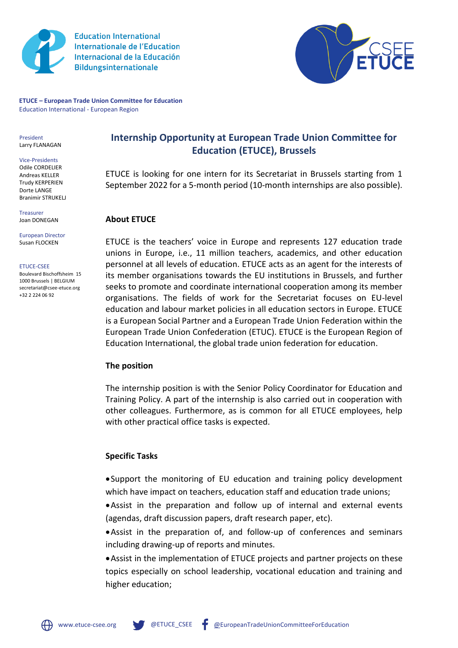

**Education International Internationale de l'Education** Internacional de la Educación **Bildungsinternationale** 



**ETUCE – European Trade Union Committee for Education** Education International - European Region

President Larry FLANAGAN

Vice-Presidents Odile CORDELIER Andreas KELLER Trudy KERPERIEN Dorte LANGE Branimir STRUKELJ

Treasurer Joan DONEGAN

#### European Director Susan FLOCKEN

ETUCE-CSEE Boulevard Bischoffsheim 15 1000 Brussels | BELGIUM secretariat@csee-etuce.org

+32 2 224 06 92

**Internship Opportunity at European Trade Union Committee for Education (ETUCE), Brussels**

ETUCE is looking for one intern for its Secretariat in Brussels starting from 1 September 2022 for a 5-month period (10-month internships are also possible).

## **About ETUCE**

[ETUCE](https://www.csee-etuce.org/en/) is the teachers' voice in Europe and represents 127 education trade unions in Europe, i.e., 11 million teachers, academics, and other education personnel at all levels of education. ETUCE acts as an agent for the interests of its member organisations towards the EU institutions in Brussels, and further seeks to promote and coordinate international cooperation among its member organisations. The fields of work for the Secretariat focuses on EU-level education and labour market policies in all education sectors in Europe. ETUCE is a European Social Partner and a European Trade Union Federation within the European Trade Union Confederation (ETUC). ETUCE is the European Region of Education International, the global trade union federation for education.

## **The position**

The internship position is with the Senior Policy Coordinator for Education and Training Policy. A part of the internship is also carried out in cooperation with other colleagues. Furthermore, as is common for all ETUCE employees, help with other practical office tasks is expected.

# **Specific Tasks**

•Support the monitoring of EU education and training policy development which have impact on teachers, education staff and education trade unions;

•Assist in the preparation and follow up of internal and external events (agendas, draft discussion papers, draft research paper, etc).

•Assist in the preparation of, and follow-up of conferences and seminars including drawing-up of reports and minutes.

•Assist in the implementation of ETUCE projects and partner projects on these topics especially on school leadership, vocational education and training and higher education;